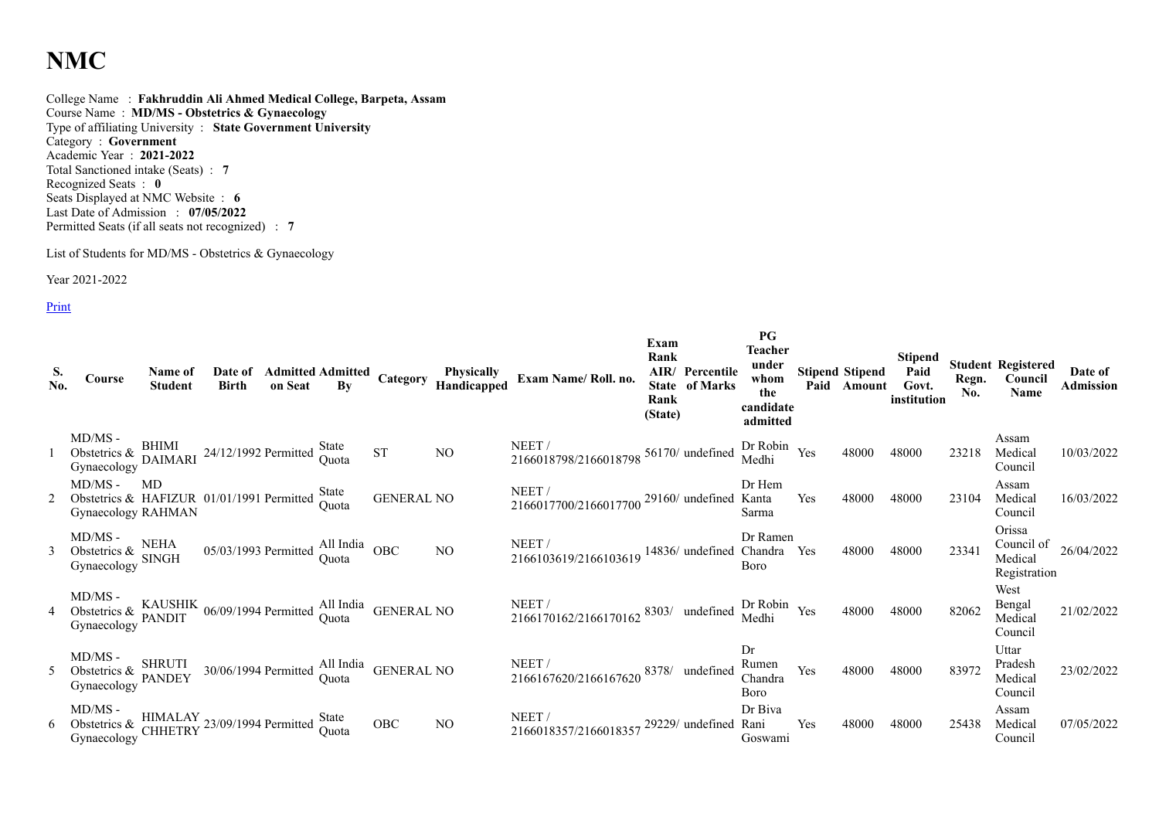## **NMC**

College Name : **Fakhruddin Ali Ahmed Medical College, Barpeta, Assam** Course Name : **MD/MS - Obstetrics & Gynaecology** Type of affiliating University : **State Government University** Category : **Government** Academic Year : **2021-2022** Total Sanctioned intake (Seats) : **7** Recognized Seats : **0** Seats Displayed at NMC Website : **6** Last Date of Admission : **07/05/2022** Permitted Seats (if all seats not recognized) : **7**

List of Students for MD/MS - Obstetrics & Gynaecology

Year 2021-2022

**Print** 

| S.<br>No.      | Course                                                                                                                  | Name of<br><b>Student</b> | Date of<br><b>Birth</b>                                            |  |                   | <b>Admitted Admitted Category Physically<br/>on Seat By Category Handicapped</b> | Exam Name/Roll. no.                                                      | Exam<br>Rank<br>Rank<br>(State) | AIR/ Percentile<br><b>State of Marks</b> | PG<br>Teacher<br>under<br>whom<br>the<br>candidate<br>admitted |     | <b>Stipend Stipend</b><br>Paid Amount | Stipend<br>Paid<br>Govt.<br>institution | Regn.<br>No. | <b>Student Registered</b><br>Council<br>Name | Date of<br><b>Admission</b> |
|----------------|-------------------------------------------------------------------------------------------------------------------------|---------------------------|--------------------------------------------------------------------|--|-------------------|----------------------------------------------------------------------------------|--------------------------------------------------------------------------|---------------------------------|------------------------------------------|----------------------------------------------------------------|-----|---------------------------------------|-----------------------------------------|--------------|----------------------------------------------|-----------------------------|
|                | $MD/MS$ -<br>NID/MS -<br>Obstetrics & BHIMI<br>Conservation DAIMARI 24/12/1992 Permitted Quota<br>Gynaecology           |                           |                                                                    |  | <b>ST</b>         | NO                                                                               | NEET /<br>2166018798/2166018798 <sup>56170/</sup> undefined Dr Robin Yes |                                 |                                          |                                                                |     | 48000                                 | 48000                                   | 23218        | Assam<br>Medical<br>Council                  | 10/03/2022                  |
| $\overline{2}$ | $MD/MS -$<br>Obstetries & HAFIZUR 01/01/1991 Permitted State<br>Gynaecology RAHMAN                                      | MD                        |                                                                    |  | <b>GENERAL NO</b> |                                                                                  | NEET /<br>2166017700/2166017700 <sup>29160/</sup> undefined Kanta        |                                 |                                          | Dr Hem<br>Sarma                                                | Yes | 48000                                 | 48000                                   | 23104        | Assam<br>Medical<br>Council                  | 16/03/2022                  |
|                | MD/MS -<br>Obstetrics & SINGH<br>Gynaecology SINGH                                                                      |                           | $05/03/1993$ Permitted $\frac{\text{All India}}{\text{Quota}}$ OBC |  |                   | NO.                                                                              | NEET/<br>2166103619/2166103619 14836/ undefined Chandra Yes              |                                 |                                          | Dr Ramen<br><b>B</b> oro                                       |     | 48000                                 | 48000                                   | 23341        | Orissa<br>Medical<br>Registration            | Council of $26/04/2022$     |
|                | MD/MS - Obstetrics & KAUSHIK 06/09/1994 Permitted All India GENERAL NO<br>Gynaecology PANDIT 06/09/1994 Permitted Quota |                           |                                                                    |  |                   |                                                                                  | NEET /<br>2166170162/2166170162 8303/ undefined Dr Robin Yes             |                                 |                                          |                                                                |     | 48000                                 | 48000                                   | 82062        | West<br>Bengal<br>Medical<br>Council         | 21/02/2022                  |
|                | $MD/MS -$<br>NID/NIS -<br>Obstetrics & PANDEY<br>Gynaecology                                                            |                           | 30/06/1994 Permitted All India GENERAL NO                          |  |                   |                                                                                  | NEET/<br>2166167620/2166167620 8378/ undefined                           |                                 |                                          | Dr<br>Rumen<br>Chandra<br>Boro                                 | Yes | 48000                                 | 48000                                   | 83972        | Uttar<br>Pradesh<br>Medical<br>Council       | 23/02/2022                  |
|                | MD/MS -<br>Obstetrics & HIMALAY 23/09/1994 Permitted State<br>Gynaecology CHHETRY 23/09/1994 Permitted Quota            |                           |                                                                    |  | OBC               | NO.                                                                              | NEET /<br>2166018357/2166018357                                          |                                 | 29229/ undefined Rani                    | Dr Biva<br>Goswami                                             | Yes | 48000                                 | 48000                                   | 25438        | Assam<br>Medical<br>Council                  | 07/05/2022                  |